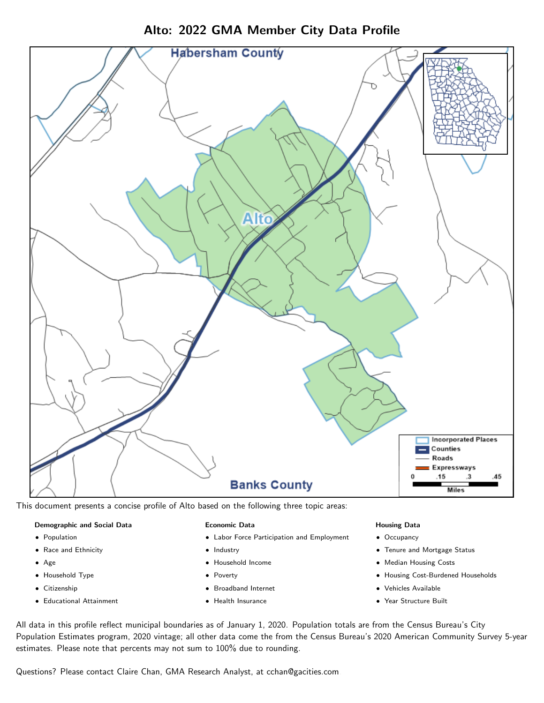

Alto: 2022 GMA Member City Data Profile

This document presents a concise profile of Alto based on the following three topic areas:

#### Demographic and Social Data

- **•** Population
- Race and Ethnicity
- Age
- Household Type
- **Citizenship**
- Educational Attainment

#### Economic Data

- Labor Force Participation and Employment
- Industry
- Household Income
- Poverty
- Broadband Internet
- Health Insurance

#### Housing Data

- Occupancy
- Tenure and Mortgage Status
- Median Housing Costs
- Housing Cost-Burdened Households
- Vehicles Available
- $\bullet$ Year Structure Built

All data in this profile reflect municipal boundaries as of January 1, 2020. Population totals are from the Census Bureau's City Population Estimates program, 2020 vintage; all other data come the from the Census Bureau's 2020 American Community Survey 5-year estimates. Please note that percents may not sum to 100% due to rounding.

Questions? Please contact Claire Chan, GMA Research Analyst, at [cchan@gacities.com.](mailto:cchan@gacities.com)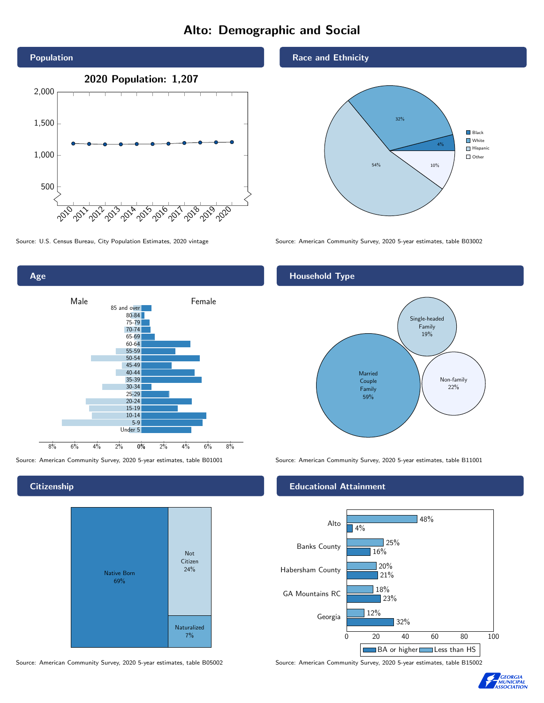# Alto: Demographic and Social



0% 2% 4% 6% 8% Male **Female** 8% 6% 4% 2% 85 and over 80-84 75-79 70-74 65-69 60-64 55-59 50-54 45-49 40-44 35-39 30-34 25-29 20-24 15-19  $10-14$ 5-9 Under 5

**Citizenship** 

Age



Race and Ethnicity



Source: U.S. Census Bureau, City Population Estimates, 2020 vintage Source: American Community Survey, 2020 5-year estimates, table B03002

## Household Type



Source: American Community Survey, 2020 5-year estimates, table B01001 Source: American Community Survey, 2020 5-year estimates, table B11001

#### Educational Attainment



Source: American Community Survey, 2020 5-year estimates, table B05002 Source: American Community Survey, 2020 5-year estimates, table B15002

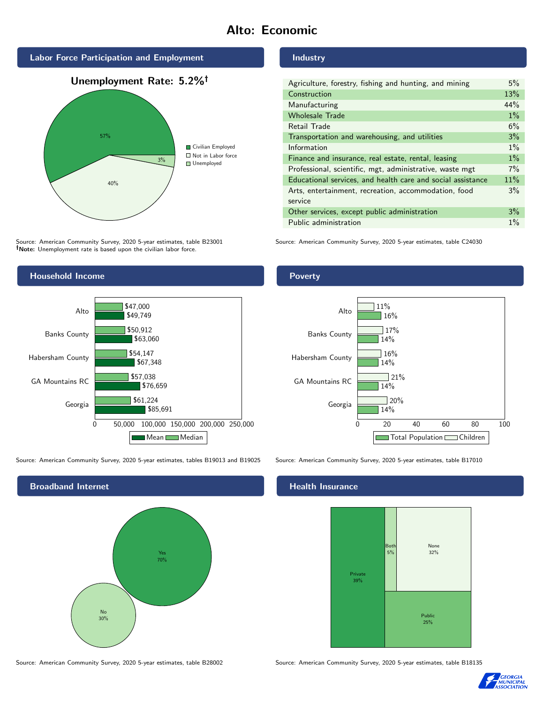## Alto: Economic







Source: American Community Survey, 2020 5-year estimates, table B23001 Note: Unemployment rate is based upon the civilian labor force.

#### Industry

| Agriculture, forestry, fishing and hunting, and mining      | 5%    |
|-------------------------------------------------------------|-------|
| Construction                                                | 13%   |
| Manufacturing                                               | 44%   |
| <b>Wholesale Trade</b>                                      | $1\%$ |
| Retail Trade                                                | 6%    |
| Transportation and warehousing, and utilities               | 3%    |
| Information                                                 | $1\%$ |
| Finance and insurance, real estate, rental, leasing         | $1\%$ |
| Professional, scientific, mgt, administrative, waste mgt    | 7%    |
| Educational services, and health care and social assistance | 11%   |
| Arts, entertainment, recreation, accommodation, food        | 3%    |
| service                                                     |       |
| Other services, except public administration                | 3%    |
| Public administration                                       | $1\%$ |

Source: American Community Survey, 2020 5-year estimates, table C24030



Source: American Community Survey, 2020 5-year estimates, tables B19013 and B19025 Source: American Community Survey, 2020 5-year estimates, table B17010

Broadband Internet No 30% Yes 70%

#### Health Insurance



Source: American Community Survey, 2020 5-year estimates, table B28002 Source: American Community Survey, 2020 5-year estimates, table B18135